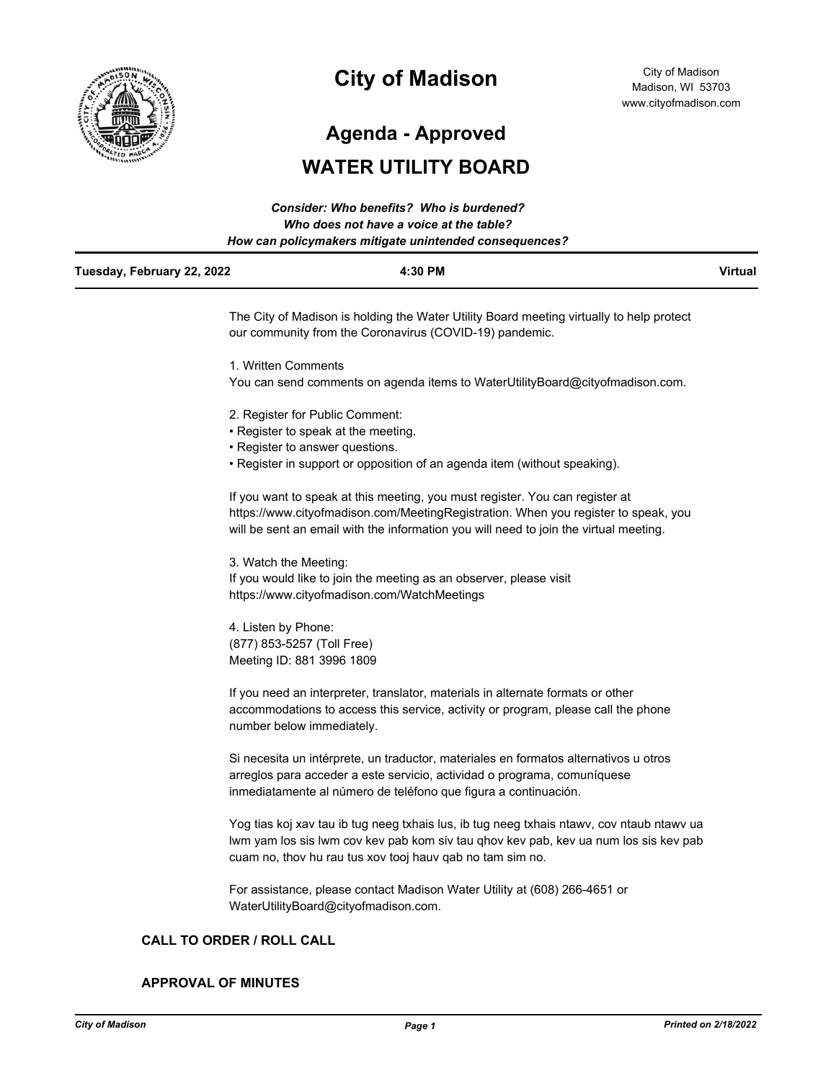

# **City of Madison**

**Agenda - Approved**

## **WATER UTILITY BOARD**

| <b>Consider: Who benefits? Who is burdened?</b><br>Who does not have a voice at the table?<br>How can policymakers mitigate unintended consequences? |                                                                                                                                                     |                |  |  |
|------------------------------------------------------------------------------------------------------------------------------------------------------|-----------------------------------------------------------------------------------------------------------------------------------------------------|----------------|--|--|
| Tuesday, February 22, 2022                                                                                                                           | 4:30 PM                                                                                                                                             | <b>Virtual</b> |  |  |
|                                                                                                                                                      | The City of Madison is holding the Water Utility Board meeting virtually to help protect<br>our community from the Coronavirus (COVID-19) pandemic. |                |  |  |
|                                                                                                                                                      | 1. Written Comments                                                                                                                                 |                |  |  |
|                                                                                                                                                      | You can send comments on agenda items to WaterUtilityBoard@cityofmadison.com.                                                                       |                |  |  |
|                                                                                                                                                      | 2. Register for Public Comment:                                                                                                                     |                |  |  |
|                                                                                                                                                      | • Register to speak at the meeting.                                                                                                                 |                |  |  |
|                                                                                                                                                      | . Desistes te esences succetiese                                                                                                                    |                |  |  |

- Register to answer questions.
- Register in support or opposition of an agenda item (without speaking).

If you want to speak at this meeting, you must register. You can register at https://www.cityofmadison.com/MeetingRegistration. When you register to speak, you will be sent an email with the information you will need to join the virtual meeting.

3. Watch the Meeting: If you would like to join the meeting as an observer, please visit https://www.cityofmadison.com/WatchMeetings

4. Listen by Phone: (877) 853-5257 (Toll Free) Meeting ID: 881 3996 1809

If you need an interpreter, translator, materials in alternate formats or other accommodations to access this service, activity or program, please call the phone number below immediately.

Si necesita un intérprete, un traductor, materiales en formatos alternativos u otros arreglos para acceder a este servicio, actividad o programa, comuníquese inmediatamente al número de teléfono que figura a continuación.

Yog tias koj xav tau ib tug neeg txhais lus, ib tug neeg txhais ntawv, cov ntaub ntawv ua lwm yam los sis lwm cov kev pab kom siv tau qhov kev pab, kev ua num los sis kev pab cuam no, thov hu rau tus xov tooj hauv qab no tam sim no.

For assistance, please contact Madison Water Utility at (608) 266-4651 or WaterUtilityBoard@cityofmadison.com.

#### **CALL TO ORDER / ROLL CALL**

#### **APPROVAL OF MINUTES**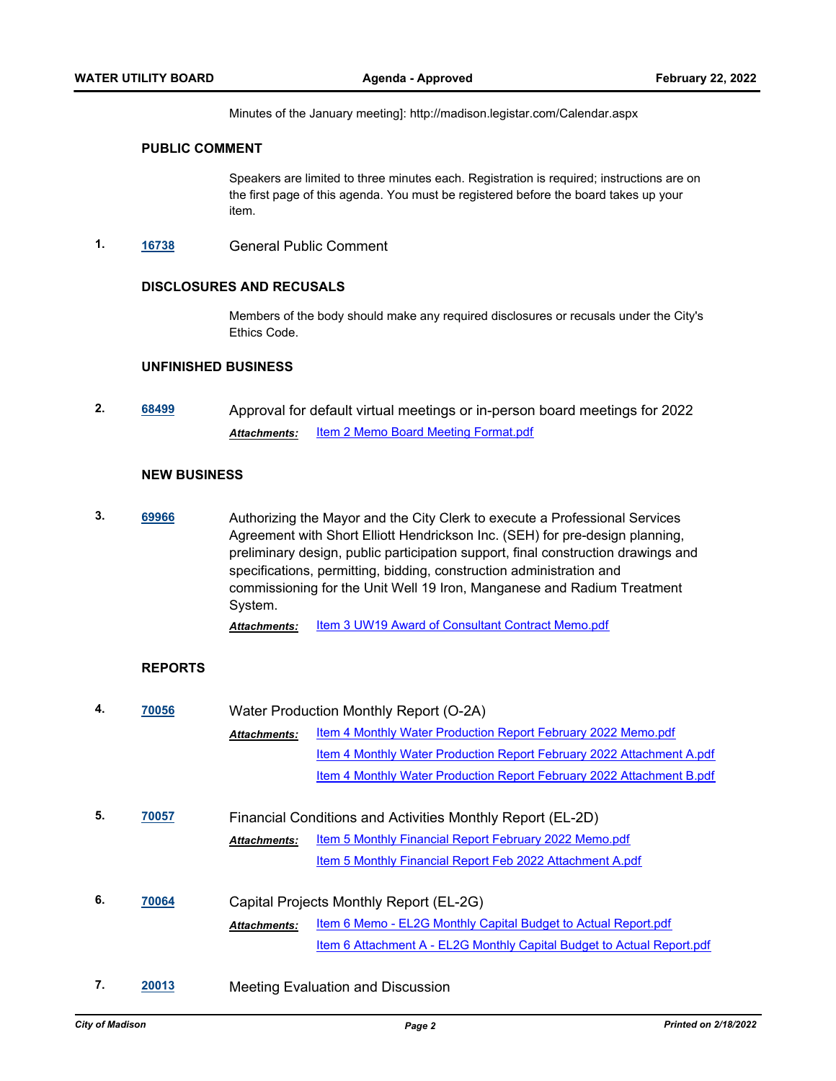Minutes of the January meeting]: http://madison.legistar.com/Calendar.aspx

#### **PUBLIC COMMENT**

Speakers are limited to three minutes each. Registration is required; instructions are on the first page of this agenda. You must be registered before the board takes up your item.

**1. [16738](http://madison.legistar.com/gateway.aspx?m=l&id=/matter.aspx?key=18604)** General Public Comment

#### **DISCLOSURES AND RECUSALS**

Members of the body should make any required disclosures or recusals under the City's Ethics Code.

#### **UNFINISHED BUSINESS**

**2. [68499](http://madison.legistar.com/gateway.aspx?m=l&id=/matter.aspx?key=80176)** Approval for default virtual meetings or in-person board meetings for 2022 Attachments: **[Item 2 Memo Board Meeting Format.pdf](http://madison.legistar.com/gateway.aspx?M=F&ID=9ee7a8b1-661a-4b06-95d3-4023f0937eaa.pdf)** 

#### **NEW BUSINESS**

**3. [69966](http://madison.legistar.com/gateway.aspx?m=l&id=/matter.aspx?key=81218)** Authorizing the Mayor and the City Clerk to execute a Professional Services Agreement with Short Elliott Hendrickson Inc. (SEH) for pre-design planning, preliminary design, public participation support, final construction drawings and specifications, permitting, bidding, construction administration and commissioning for the Unit Well 19 Iron, Manganese and Radium Treatment System.

Attachments: **[Item 3 UW19 Award of Consultant Contract Memo.pdf](http://madison.legistar.com/gateway.aspx?M=F&ID=89c74e9c-a9f7-4180-b6c0-e3c33e63858d.pdf)** 

#### **REPORTS**

| 4. | 70056 | Water Production Monthly Report (O-2A)                     |                                                                        |  |
|----|-------|------------------------------------------------------------|------------------------------------------------------------------------|--|
|    |       | <b>Attachments:</b>                                        | Item 4 Monthly Water Production Report February 2022 Memo.pdf          |  |
|    |       |                                                            | Item 4 Monthly Water Production Report February 2022 Attachment A.pdf  |  |
|    |       |                                                            | Item 4 Monthly Water Production Report February 2022 Attachment B.pdf  |  |
|    |       |                                                            |                                                                        |  |
| 5. | 70057 | Financial Conditions and Activities Monthly Report (EL-2D) |                                                                        |  |
|    |       | <b>Attachments:</b>                                        | Item 5 Monthly Financial Report February 2022 Memo.pdf                 |  |
|    |       |                                                            | Item 5 Monthly Financial Report Feb 2022 Attachment A.pdf              |  |
| 6. | 70064 |                                                            | Capital Projects Monthly Report (EL-2G)                                |  |
|    |       | <b>Attachments:</b>                                        | Item 6 Memo - EL2G Monthly Capital Budget to Actual Report.pdf         |  |
|    |       |                                                            | Item 6 Attachment A - EL2G Monthly Capital Budget to Actual Report.pdf |  |
| 7. | 20013 |                                                            | <b>Meeting Evaluation and Discussion</b>                               |  |